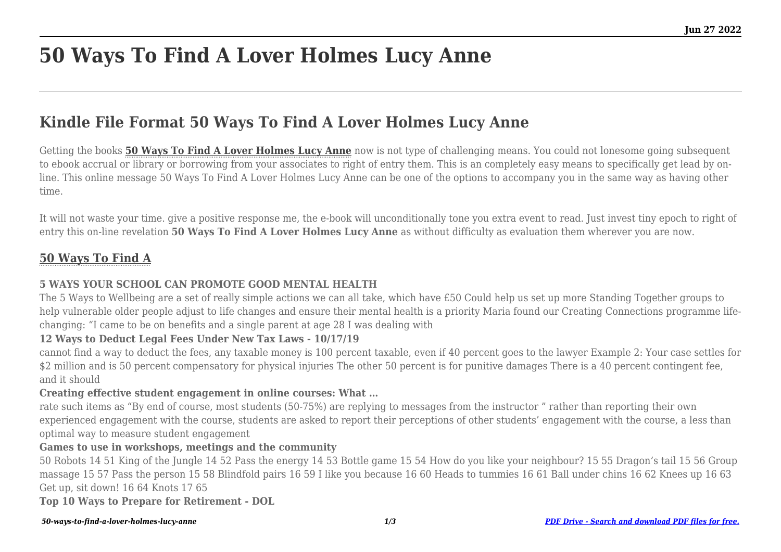# **50 Ways To Find A Lover Holmes Lucy Anne**

## **Kindle File Format 50 Ways To Find A Lover Holmes Lucy Anne**

Getting the books **[50 Ways To Find A Lover Holmes Lucy Anne](https://uniport.edu.ng)** now is not type of challenging means. You could not lonesome going subsequent to ebook accrual or library or borrowing from your associates to right of entry them. This is an completely easy means to specifically get lead by online. This online message 50 Ways To Find A Lover Holmes Lucy Anne can be one of the options to accompany you in the same way as having other time.

It will not waste your time, give a positive response me, the e-book will unconditionally tone you extra event to read. Just invest tiny epoch to right of entry this on-line revelation **50 Ways To Find A Lover Holmes Lucy Anne** as without difficulty as evaluation them wherever you are now.

### **[50 Ways To Find A](https://uniport.edu.ng/50-ways-to-find-a-lover-holmes-lucy-anne.pdf)**

#### **5 WAYS YOUR SCHOOL CAN PROMOTE GOOD MENTAL HEALTH**

The 5 Ways to Wellbeing are a set of really simple actions we can all take, which have £50 Could help us set up more Standing Together groups to help vulnerable older people adjust to life changes and ensure their mental health is a priority Maria found our Creating Connections programme lifechanging: "I came to be on benefits and a single parent at age 28 I was dealing with

#### **12 Ways to Deduct Legal Fees Under New Tax Laws - 10/17/19**

cannot find a way to deduct the fees, any taxable money is 100 percent taxable, even if 40 percent goes to the lawyer Example 2: Your case settles for \$2 million and is 50 percent compensatory for physical injuries The other 50 percent is for punitive damages There is a 40 percent contingent fee, and it should

#### **Creating effective student engagement in online courses: What …**

rate such items as "By end of course, most students (50-75%) are replying to messages from the instructor " rather than reporting their own experienced engagement with the course, students are asked to report their perceptions of other students' engagement with the course, a less than optimal way to measure student engagement

#### **Games to use in workshops, meetings and the community**

50 Robots 14 51 King of the Jungle 14 52 Pass the energy 14 53 Bottle game 15 54 How do you like your neighbour? 15 55 Dragon's tail 15 56 Group massage 15 57 Pass the person 15 58 Blindfold pairs 16 59 I like you because 16 60 Heads to tummies 16 61 Ball under chins 16 62 Knees up 16 63 Get up, sit down! 16 64 Knots 17 65

**Top 10 Ways to Prepare for Retirement - DOL**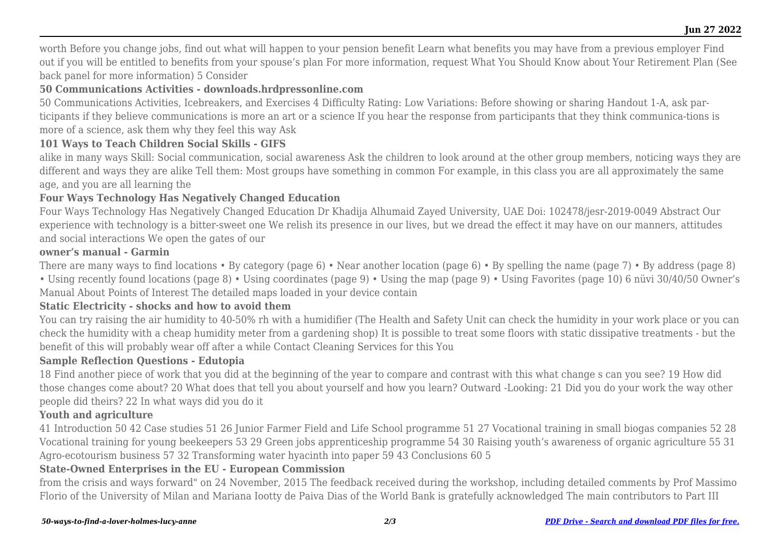worth Before you change jobs, find out what will happen to your pension benefit Learn what benefits you may have from a previous employer Find out if you will be entitled to benefits from your spouse's plan For more information, request What You Should Know about Your Retirement Plan (See back panel for more information) 5 Consider

#### **50 Communications Activities - downloads.hrdpressonline.com**

50 Communications Activities, Icebreakers, and Exercises 4 Difficulty Rating: Low Variations: Before showing or sharing Handout 1-A, ask participants if they believe communications is more an art or a science If you hear the response from participants that they think communica-tions is more of a science, ask them why they feel this way Ask

#### **101 Ways to Teach Children Social Skills - GIFS**

alike in many ways Skill: Social communication, social awareness Ask the children to look around at the other group members, noticing ways they are different and ways they are alike Tell them: Most groups have something in common For example, in this class you are all approximately the same age, and you are all learning the

#### **Four Ways Technology Has Negatively Changed Education**

Four Ways Technology Has Negatively Changed Education Dr Khadija Alhumaid Zayed University, UAE Doi: 102478/jesr-2019-0049 Abstract Our experience with technology is a bitter-sweet one We relish its presence in our lives, but we dread the effect it may have on our manners, attitudes and social interactions We open the gates of our

#### **owner's manual - Garmin**

There are many ways to find locations • By category (page 6) • Near another location (page 6) • By spelling the name (page 7) • By address (page 8)

• Using recently found locations (page 8) • Using coordinates (page 9) • Using the map (page 9) • Using Favorites (page 10) 6 nüvi 30/40/50 Owner's Manual About Points of Interest The detailed maps loaded in your device contain

#### **Static Electricity - shocks and how to avoid them**

You can try raising the air humidity to 40-50% rh with a humidifier (The Health and Safety Unit can check the humidity in your work place or you can check the humidity with a cheap humidity meter from a gardening shop) It is possible to treat some floors with static dissipative treatments - but the benefit of this will probably wear off after a while Contact Cleaning Services for this You

#### **Sample Reflection Questions - Edutopia**

18 Find another piece of work that you did at the beginning of the year to compare and contrast with this what change s can you see? 19 How did those changes come about? 20 What does that tell you about yourself and how you learn? Outward -Looking: 21 Did you do your work the way other people did theirs? 22 In what ways did you do it

#### **Youth and agriculture**

41 Introduction 50 42 Case studies 51 26 Junior Farmer Field and Life School programme 51 27 Vocational training in small biogas companies 52 28 Vocational training for young beekeepers 53 29 Green jobs apprenticeship programme 54 30 Raising youth's awareness of organic agriculture 55 31 Agro-ecotourism business 57 32 Transforming water hyacinth into paper 59 43 Conclusions 60 5

#### **State-Owned Enterprises in the EU - European Commission**

from the crisis and ways forward" on 24 November, 2015 The feedback received during the workshop, including detailed comments by Prof Massimo Florio of the University of Milan and Mariana Iootty de Paiva Dias of the World Bank is gratefully acknowledged The main contributors to Part III